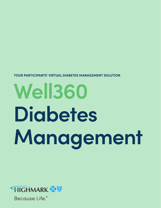**YOUR PARTICIPANTS' VIRTUAL DIABETES MANAGEMENT SOLUTION**

# **Well360 Diabetes Management**

HIGHMARK & !!

Because Life.™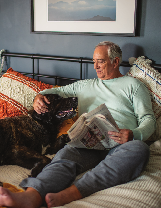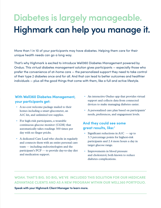# **Diabetes is largely manageable. Highmark can help you manage it.**

More than 1 in 10 of your participants may have diabetes. Helping them care for their unique health needs can go a long way.

That's why Highmark is excited to introduce Well360 Diabetes Management powered by Onduo. This virtual diabetes management solution gives participants — especially those who prefer the convenience of at-home care — the personalized support they need to take control of their type 2 diabetes once and for all. And that can lead to better outcomes and healthier individuals — plus all the good things that come with them, like a full and active lifestyle.

#### **With Well360 Diabetes Management, your participants get:**

- A no-cost welcome package mailed to their homes including a smart glucometer, an A1C kit, and unlimited test supplies.
- For high-risk participants, a wearable continuous glucose monitor (CGM) that automatically takes readings 300 times per day with no finger pricks.
- A dedicated Care Lead who checks in regularly and connects them with an entire personal care team — including endocrinologists and the participant's PCP — to provide day-to-day diet and medication support.
- An interactive Onduo app that provides virtual support and collects data from connected devices to make managing diabetes easier.
- A personalized care plan based on participants' needs, preferences, and engagement levels.

## **And they could see some great results, like:1**

- Significant reductions in A1C  $-$  up to 3.3 percentage points for highest-risk participants and 2.4 more hours a day in range. target glucose range.
- Improvements in blood pressure and cholesterol, both known to reduce diabetes complications.

## **WOAH. THAT'S BIG. SO BIG, WE'VE INCLUDED THIS SOLUTION FOR OUR MEDICARE ADVANTAGE CLIENTS AND AS A NEW PROGRAM WITHIN OUR WELL360 PORTFOLIO.**

**Speak with your Highmark Client Manager to learn more.**